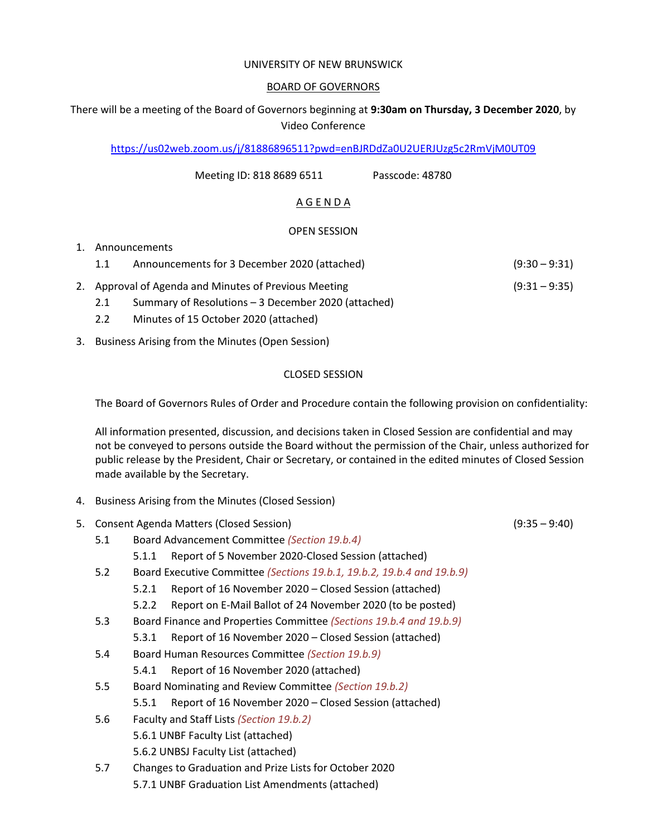#### UNIVERSITY OF NEW BRUNSWICK

#### BOARD OF GOVERNORS

# There will be a meeting of the Board of Governors beginning at **9:30am on Thursday, 3 December 2020**, by Video Conference

<https://us02web.zoom.us/j/81886896511?pwd=enBJRDdZa0U2UERJUzg5c2RmVjM0UT09>

Meeting ID: 818 8689 6511 Passcode: 48780

## A G E N D A

### OPEN SESSION

### 1. Announcements 1.1 Announcements for 3 December 2020 (attached) (9:30 – 9:31)

- 2. Approval of Agenda and Minutes of Previous Meeting (9:31 9:35)
	- 2.1 Summary of Resolutions 3 December 2020 (attached)
	- 2.2 Minutes of 15 October 2020 (attached)
- 3. Business Arising from the Minutes (Open Session)

### CLOSED SESSION

The Board of Governors Rules of Order and Procedure contain the following provision on confidentiality:

All information presented, discussion, and decisions taken in Closed Session are confidential and may not be conveyed to persons outside the Board without the permission of the Chair, unless authorized for public release by the President, Chair or Secretary, or contained in the edited minutes of Closed Session made available by the Secretary.

- 4. Business Arising from the Minutes (Closed Session)
- 5. Consent Agenda Matters (Closed Session) (9:35 9:40)
	- 5.1 Board Advancement Committee *(Section 19.b.4)*
		- 5.1.1 Report of 5 November 2020-Closed Session (attached)
	- 5.2 Board Executive Committee *(Sections 19.b.1, 19.b.2, 19.b.4 and 19.b.9)*
		- 5.2.1 Report of 16 November 2020 Closed Session (attached)
		- 5.2.2 Report on E-Mail Ballot of 24 November 2020 (to be posted)
	- 5.3 Board Finance and Properties Committee *(Sections 19.b.4 and 19.b.9)*
		- 5.3.1 Report of 16 November 2020 Closed Session (attached)
	- 5.4 Board Human Resources Committee *(Section 19.b.9)*
		- 5.4.1 Report of 16 November 2020 (attached)
	- 5.5 Board Nominating and Review Committee *(Section 19.b.2)*
		- 5.5.1 Report of 16 November 2020 Closed Session (attached)
	- 5.6 Faculty and Staff Lists *(Section 19.b.2)* 5.6.1 UNBF Faculty List (attached) 5.6.2 UNBSJ Faculty List (attached)
	- 5.7 Changes to Graduation and Prize Lists for October 2020 5.7.1 UNBF Graduation List Amendments (attached)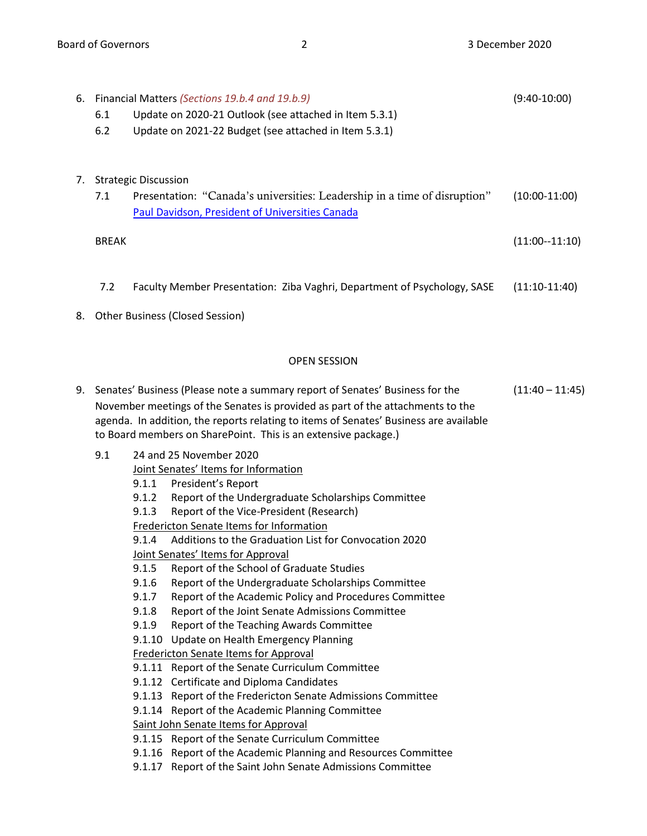|    | 6.1<br>6.2                                                                                                                                                                                                                                                                                                                   | 6. Financial Matters (Sections 19.b.4 and 19.b.9)<br>Update on 2020-21 Outlook (see attached in Item 5.3.1)<br>Update on 2021-22 Budget (see attached in Item 5.3.1)                                                                                                                                                                                                                                                                                                                     | $(9:40-10:00)$  |
|----|------------------------------------------------------------------------------------------------------------------------------------------------------------------------------------------------------------------------------------------------------------------------------------------------------------------------------|------------------------------------------------------------------------------------------------------------------------------------------------------------------------------------------------------------------------------------------------------------------------------------------------------------------------------------------------------------------------------------------------------------------------------------------------------------------------------------------|-----------------|
|    | 7.1                                                                                                                                                                                                                                                                                                                          | 7. Strategic Discussion<br>Presentation: "Canada's universities: Leadership in a time of disruption"<br>Paul Davidson, President of Universities Canada                                                                                                                                                                                                                                                                                                                                  | $(10:00-11:00)$ |
|    | <b>BREAK</b>                                                                                                                                                                                                                                                                                                                 |                                                                                                                                                                                                                                                                                                                                                                                                                                                                                          | $(11:00-11:10)$ |
|    | 7.2                                                                                                                                                                                                                                                                                                                          | Faculty Member Presentation: Ziba Vaghri, Department of Psychology, SASE                                                                                                                                                                                                                                                                                                                                                                                                                 | $(11:10-11:40)$ |
| 8. |                                                                                                                                                                                                                                                                                                                              | <b>Other Business (Closed Session)</b>                                                                                                                                                                                                                                                                                                                                                                                                                                                   |                 |
|    |                                                                                                                                                                                                                                                                                                                              | <b>OPEN SESSION</b>                                                                                                                                                                                                                                                                                                                                                                                                                                                                      |                 |
|    | 9. Senates' Business (Please note a summary report of Senates' Business for the<br>November meetings of the Senates is provided as part of the attachments to the<br>agenda. In addition, the reports relating to items of Senates' Business are available<br>to Board members on SharePoint. This is an extensive package.) | $(11:40 - 11:45)$                                                                                                                                                                                                                                                                                                                                                                                                                                                                        |                 |
|    | 9.1                                                                                                                                                                                                                                                                                                                          | 24 and 25 November 2020<br>Joint Senates' Items for Information<br>President's Report<br>9.1.1<br>Report of the Undergraduate Scholarships Committee<br>9.1.2<br>9.1.3<br>Report of the Vice-President (Research)<br>Fredericton Senate Items for Information<br>Additions to the Graduation List for Convocation 2020<br>9.1.4<br>Joint Senates' Items for Approval<br>9.1.5<br>Report of the School of Graduate Studies<br>9.1.6<br>Report of the Undergraduate Scholarships Committee |                 |

- 9.1.9 Report of the Teaching Awards Committee
- 9.1.10 Update on Health Emergency Planning

### Fredericton Senate Items for Approval

- 9.1.11 Report of the Senate Curriculum Committee
- 9.1.12 Certificate and Diploma Candidates
- 9.1.13 Report of the Fredericton Senate Admissions Committee
- 9.1.14 Report of the Academic Planning Committee

Saint John Senate Items for Approval

- 9.1.15 Report of the Senate Curriculum Committee
- 9.1.16 Report of the Academic Planning and Resources Committee
- 9.1.17 Report of the Saint John Senate Admissions Committee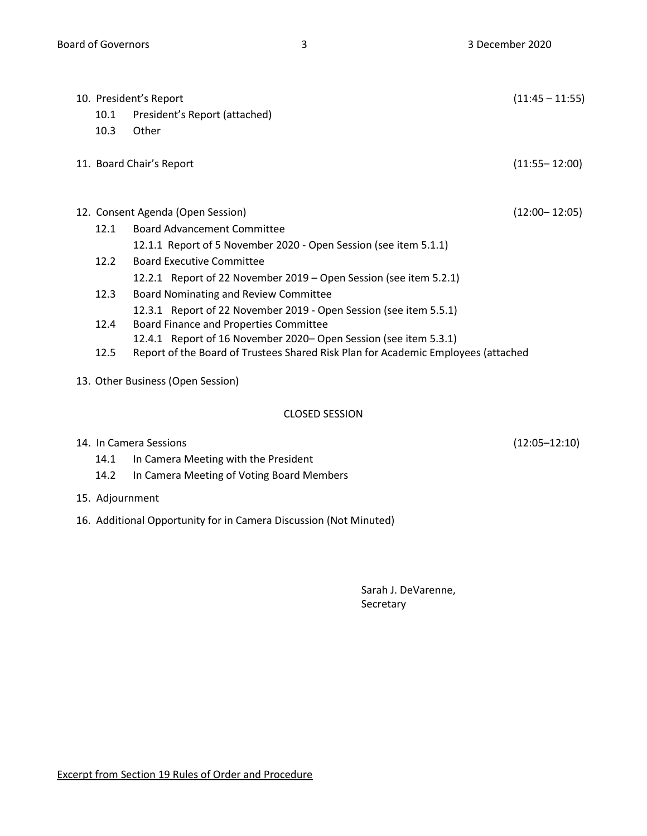|                                   | 10. President's Report                                                            | $(11:45 - 11:55)$ |  |  |
|-----------------------------------|-----------------------------------------------------------------------------------|-------------------|--|--|
| 10.1                              | President's Report (attached)                                                     |                   |  |  |
| 10.3                              | Other                                                                             |                   |  |  |
|                                   | 11. Board Chair's Report                                                          | $(11:55 - 12:00)$ |  |  |
|                                   |                                                                                   |                   |  |  |
|                                   | 12. Consent Agenda (Open Session)                                                 | $(12:00 - 12:05)$ |  |  |
| 12.1                              | <b>Board Advancement Committee</b>                                                |                   |  |  |
|                                   | 12.1.1 Report of 5 November 2020 - Open Session (see item 5.1.1)                  |                   |  |  |
| 12.2                              | <b>Board Executive Committee</b>                                                  |                   |  |  |
|                                   | 12.2.1 Report of 22 November 2019 – Open Session (see item 5.2.1)                 |                   |  |  |
| 12.3                              | Board Nominating and Review Committee                                             |                   |  |  |
|                                   | 12.3.1 Report of 22 November 2019 - Open Session (see item 5.5.1)                 |                   |  |  |
| 12.4                              | Board Finance and Properties Committee                                            |                   |  |  |
|                                   | 12.4.1 Report of 16 November 2020– Open Session (see item 5.3.1)                  |                   |  |  |
| 12.5                              | Report of the Board of Trustees Shared Risk Plan for Academic Employees (attached |                   |  |  |
| 13. Other Business (Open Session) |                                                                                   |                   |  |  |
|                                   | <b>CLOSED SESSION</b>                                                             |                   |  |  |
|                                   | 14. In Camera Sessions                                                            | (12:05–12:10)     |  |  |

- 14.1 In Camera Meeting with the President
- 14.2 In Camera Meeting of Voting Board Members
- 15. Adjournment
- 16. Additional Opportunity for in Camera Discussion (Not Minuted)

Sarah J. DeVarenne, Secretary